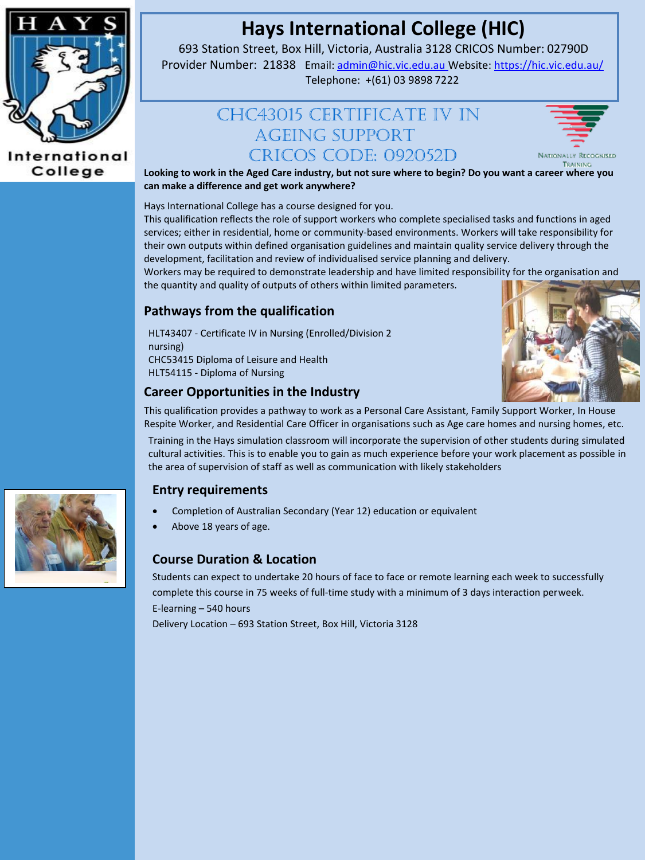

#### International College

# **Hays International College (HIC)**

693 Station Street, Box Hill, Victoria, Australia 3128 CRICOS Number: 02790D Provider Number: 21838 Email[: admin@hic.vic.edu.au](mailto:admin@hic.vic.edu.au) Website[: https://hic.vic.edu.au/](https://hic.vic.edu.au/)

Telephone: +(61) 03 9898 7222

# CHC43015 CERTIFICATE IV IN AGEING SUPPORT CRICOS CODE: 092052D



**Looking to work in the Aged Care industry, but not sure where to begin? Do you want a career where you can make a difference and get work anywhere?**

Hays International College has a course designed for you.

This qualification reflects the role of support workers who complete specialised tasks and functions in aged services; either in residential, home or community-based environments. Workers will take responsibility for their own outputs within defined organisation guidelines and maintain quality service delivery through the development, facilitation and review of individualised service planning and delivery.

Workers may be required to demonstrate leadership and have limited responsibility for the organisation and the quantity and quality of outputs of others within limited parameters.

## **Pathways from the qualification**

HLT43407 - Certificate IV in Nursing (Enrolled/Division 2 nursing) CHC53415 Diploma of Leisure and Health HLT54115 - Diploma of Nursing



#### **Career Opportunities in the Industry**

This qualification provides a pathway to work as a Personal Care Assistant, Family Support Worker, In House Respite Worker, and Residential Care Officer in organisations such as Age care homes and nursing homes, etc.

Training in the Hays simulation classroom will incorporate the supervision of other students during simulated cultural activities. This is to enable you to gain as much experience before your work placement as possible in the area of supervision of staff as well as communication with likely stakeholders

### **Entry requirements**

- Completion of Australian Secondary (Year 12) education or equivalent
- Above 18 years of age.

### **Course Duration & Location**

Students can expect to undertake 20 hours of face to face or remote learning each week to successfully complete this course in 75 weeks of full-time study with a minimum of 3 days interaction perweek. E-learning – 540 hours

Delivery Location – 693 Station Street, Box Hill, Victoria 3128